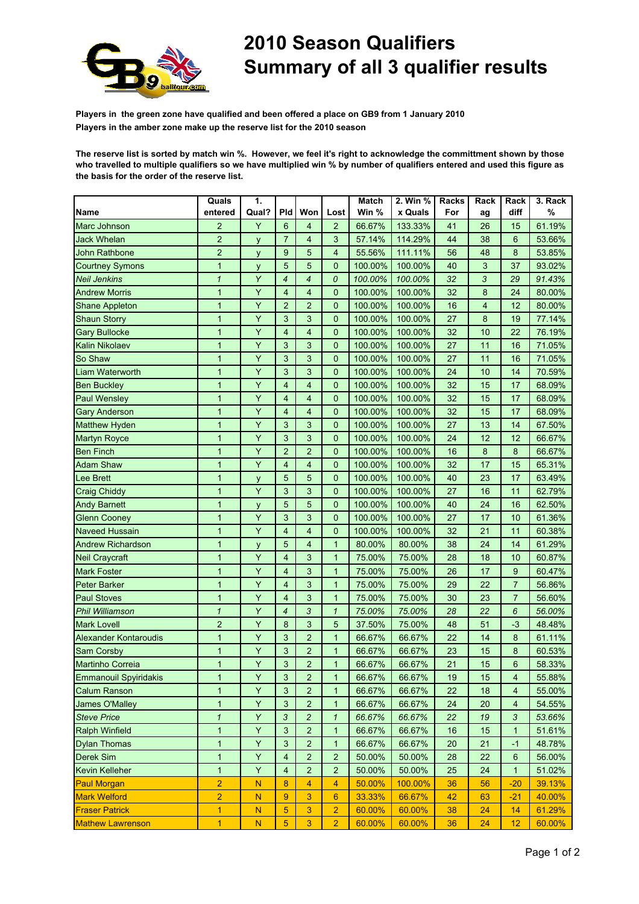

## 2010 Season Qualifiers Summary of all 3 qualifier results

Players in the green zone have qualified and been offered a place on GB9 from 1 January 2010 Players in the amber zone make up the reserve list for the 2010 season

The reserve list is sorted by match win %. However, we feel it's right to acknowledge the committment shown by those who travelled to multiple qualifiers so we have multiplied win % by number of qualifiers entered and used this figure as the basis for the order of the reserve list.

|                              | Quals          | 1.        |                |                           |                | Match   | 2. Win %      | Racks | Rack                    | Rack                    | 3. Rack |
|------------------------------|----------------|-----------|----------------|---------------------------|----------------|---------|---------------|-------|-------------------------|-------------------------|---------|
| Name                         | entered        | Qual?     | Pld            | Won                       | Lost           | Win %   | x Quals       | For   | ag                      | diff                    | $\%$    |
| Marc Johnson                 | $\overline{2}$ | Y         | 6              | $\overline{4}$            | $\overline{2}$ | 66.67%  | 133.33%       | 41    | 26                      | 15                      | 61.19%  |
| <b>Jack Whelan</b>           | $\overline{c}$ | y         | $\overline{7}$ | $\overline{4}$            | 3              | 57.14%  | 114.29%       | 44    | 38                      | 6                       | 53.66%  |
| <b>John Rathbone</b>         | $\overline{2}$ | y         | 9              | 5                         | $\overline{4}$ | 55.56%  | 111.11%       | 56    | 48                      | 8                       | 53.85%  |
| <b>Courtney Symons</b>       | $\mathbf{1}$   | y         | 5              | $\overline{5}$            | $\mathbf{0}$   | 100.00% | 100.00%       | 40    | 3                       | 37                      | 93.02%  |
| Neil Jenkins                 | $\mathbf{1}$   | Y         | $\overline{4}$ | $\overline{4}$            | 0              | 100.00% | 100.00%       | 32    | 3                       | 29                      | 91.43%  |
| <b>Andrew Morris</b>         | 1              | Y         | 4              | $\overline{4}$            | $\mathbf{0}$   | 100.00% | 100.00%       | 32    | 8                       | 24                      | 80.00%  |
| Shane Appleton               | 1              | Y         | $\overline{2}$ | $\overline{2}$            | 0              | 100.00% | 100.00%       | 16    | $\overline{\mathbf{4}}$ | 12                      | 80.00%  |
| <b>Shaun Storry</b>          | $\mathbf{1}$   | Y         | $\mathfrak{S}$ | 3                         | 0              | 100.00% | 100.00%       | 27    | 8                       | 19                      | 77.14%  |
| <b>Gary Bullocke</b>         | 1              | Y         | $\overline{4}$ | $\overline{4}$            | $\mathbf{0}$   | 100.00% | 100.00%       | 32    | 10                      | 22                      | 76.19%  |
| Kalin Nikolaev               | $\mathbf{1}$   | Y         | 3              | 3                         | $\mathbf{0}$   | 100.00% | 100.00%       | 27    | 11                      | 16                      | 71.05%  |
| So Shaw                      | $\mathbf{1}$   | Y         | 3              | $\mathbf{3}$              | $\mathbf 0$    | 100.00% | 100.00%       | 27    | 11                      | 16                      | 71.05%  |
| Liam Waterworth              | 1              | Y         | 3              | 3                         | $\mathbf 0$    | 100.00% | 100.00%       | 24    | 10                      | 14                      | 70.59%  |
| <b>Ben Buckley</b>           | 1              | Y         | $\overline{4}$ | $\overline{4}$            | $\mathbf{0}$   | 100.00% | 100.00%       | 32    | 15                      | 17                      | 68.09%  |
| <b>Paul Wensley</b>          | $\mathbf{1}$   | Y         | $\overline{4}$ | $\overline{4}$            | $\overline{0}$ | 100.00% | 100.00%       | 32    | 15                      | 17                      | 68.09%  |
| <b>Gary Anderson</b>         | $\mathbf{1}$   | Y         | $\overline{4}$ | $\overline{4}$            | $\mathbf{0}$   | 100.00% | 100.00%       | 32    | 15                      | 17                      | 68.09%  |
| Matthew Hyden                | $\mathbf{1}$   | Y         | $\mathbf{3}$   | 3                         | $\mathbf{0}$   | 100.00% | 100.00%       | 27    | 13                      | 14                      | 67.50%  |
| <b>Martyn Royce</b>          | $\mathbf{1}$   | Y         | $\mathbf{3}$   | 3                         | $\mathbf 0$    | 100.00% | 100.00%       | 24    | 12                      | 12                      | 66.67%  |
| <b>Ben Finch</b>             | $\mathbf{1}$   | Y         | $\overline{2}$ | $\overline{2}$            | $\mathbf{0}$   | 100.00% | 100.00%       | 16    | 8                       | 8                       | 66.67%  |
| <b>Adam Shaw</b>             | $\mathbf{1}$   | Y         | $\overline{4}$ | $\overline{4}$            | $\overline{0}$ | 100.00% | 100.00%       | 32    | 17                      | 15                      | 65.31%  |
| <b>Lee Brett</b>             | $\mathbf{1}$   | y         | 5              | 5                         | $\mathbf{0}$   | 100.00% | 100.00%       | 40    | 23                      | 17                      | 63.49%  |
| <b>Craig Chiddy</b>          | $\mathbf{1}$   | Y         | $\mathfrak{S}$ | $\mathbf{3}$              | 0              | 100.00% | 100.00%       | 27    | 16                      | 11                      | 62.79%  |
| <b>Andy Barnett</b>          | $\mathbf{1}$   | y         | 5              | 5                         | $\mathbf{0}$   | 100.00% | 100.00%       | 40    | 24                      | 16                      | 62.50%  |
| <b>Glenn Cooney</b>          | 1              | Υ         | 3              | $\ensuremath{\mathsf{3}}$ | $\mathbf{0}$   | 100.00% | 100.00%       | 27    | 17                      | 10                      | 61.36%  |
| Naveed Hussain               | 1              | Y         | 4              | $\overline{4}$            | 0              | 100.00% | 100.00%       | 32    | 21                      | 11                      | 60.38%  |
| Andrew Richardson            | $\mathbf{1}$   | y         | 5              | $\overline{4}$            | $\mathbf{1}$   | 80.00%  | 80.00%        | 38    | 24                      | 14                      | 61.29%  |
| <b>Neil Craycraft</b>        | $\mathbf{1}$   | Y         | $\overline{4}$ | 3                         | $\mathbf{1}$   | 75.00%  | 75.00%        | 28    | 18                      | 10                      | 60.87%  |
| <b>Mark Foster</b>           | $\mathbf{1}$   | Y         | $\overline{4}$ | 3                         | $\mathbf{1}$   | 75.00%  | 75.00%        | 26    | 17                      | 9                       | 60.47%  |
| Peter Barker                 | $\mathbf{1}$   | Y         | $\overline{4}$ | $\mathbf{3}$              | $\mathbf{1}$   | 75.00%  | 75.00%        | 29    | 22                      | $\overline{7}$          | 56.86%  |
| <b>Paul Stoves</b>           | 1              | Y         | $\overline{4}$ | 3                         | $\mathbf{1}$   | 75.00%  | 75.00%        | 30    | 23                      | $\overline{7}$          | 56.60%  |
| Phil Williamson              | $\mathbf{1}$   | Y         | $\overline{4}$ | 3                         | $\mathbf{1}$   | 75.00%  | 75.00%        | 28    | 22                      | 6                       | 56.00%  |
| <b>Mark Lovell</b>           | $\overline{c}$ | Y         | 8              | $\mathbf{3}$              | 5              | 37.50%  | 75.00%        | 48    | 51                      | $-3$                    | 48.48%  |
| <b>Alexander Kontaroudis</b> | $\mathbf{1}$   | Y         | 3              | $\overline{c}$            | $\mathbf{1}$   | 66.67%  | 66.67%        | 22    | 14                      | 8                       | 61.11%  |
| Sam Corsby                   | $\mathbf{1}$   | Y         | $\mathbf{3}$   | $\overline{c}$            | $\mathbf{1}$   | 66.67%  | 66.67%        | 23    | 15                      | 8                       | 60.53%  |
| Martinho Correia             | $\mathbf{1}$   | Y         | 3              | $\overline{c}$            | $\mathbf{1}$   | 66.67%  | 66.67%        | 21    | 15                      | 6                       | 58.33%  |
| Emmanouil Spyiridakis        | $\mathbf{1}$   | Y         | $\mathbf{3}$   | $\overline{c}$            | $\overline{1}$ |         | 66.67% 66.67% | 19    | 15                      | $\overline{\mathbf{4}}$ | 55.88%  |
| <b>Calum Ranson</b>          | $\mathbf{1}$   | Y         | $\mathfrak{S}$ | $\overline{2}$            | $\mathbf{1}$   | 66.67%  | 66.67%        | 22    | 18                      | 4                       | 55.00%  |
| James O'Malley               | 1              | Y         | 3              | $\overline{c}$            | $\mathbf{1}$   | 66.67%  | 66.67%        | 24    | 20                      | 4                       | 54.55%  |
| <b>Steve Price</b>           | $\mathbf{1}$   | Y         | 3              | $\overline{c}$            | $\mathbf{1}$   | 66.67%  | 66.67%        | 22    | 19                      | 3                       | 53.66%  |
| <b>Ralph Winfield</b>        | 1              | Y         | 3              | $\overline{c}$            | $\mathbf{1}$   | 66.67%  | 66.67%        | 16    | 15                      | 1                       | 51.61%  |
| <b>Dylan Thomas</b>          | $\mathbf{1}$   | Y         | $\sqrt{3}$     | $\overline{c}$            | $\mathbf{1}$   | 66.67%  | 66.67%        | 20    | 21                      | $-1$                    | 48.78%  |
| Derek Sim                    | $\mathbf{1}$   | Y         | 4              | $\overline{c}$            | $\overline{c}$ | 50.00%  | 50.00%        | 28    | 22                      | 6                       | 56.00%  |
| <b>Kevin Kelleher</b>        | $\mathbf{1}$   | Y         | 4              | $\overline{c}$            | $\overline{2}$ | 50.00%  | 50.00%        | 25    | 24                      | 1                       | 51.02%  |
| <b>Paul Morgan</b>           | $\overline{2}$ | ${\bf N}$ | 8              | $\overline{4}$            | 4              | 50.00%  | 100.00%       | 36    | 56                      | $-20$                   | 39.13%  |
| <b>Mark Welford</b>          | $\overline{2}$ | ${\sf N}$ | $\overline{9}$ | $\mathbf{3}$              | 6              | 33.33%  | 66.67%        | 42    | 63                      | $-21$                   | 40.00%  |
| <b>Fraser Patrick</b>        | $\overline{1}$ | ${\bf N}$ | 5              | 3                         | $\overline{2}$ | 60.00%  | 60.00%        | 38    | 24                      | 14                      | 61.29%  |
| <b>Mathew Lawrenson</b>      | $\overline{1}$ | ${\bf N}$ | 5              | 3                         | $\overline{2}$ | 60.00%  | 60.00%        | 36    | 24                      | 12                      | 60.00%  |
|                              |                |           |                |                           |                |         |               |       |                         |                         |         |